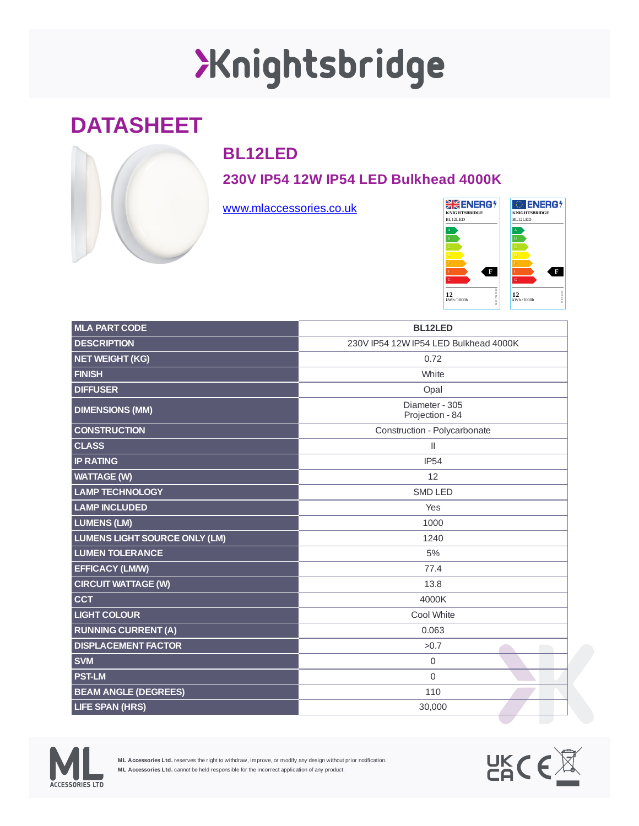# XKnightsbridge

### **DATASHEET**



#### **BL12LED**

#### **230V IP54 12W IP54 LED Bulkhead 4000K**

[www.mlaccessories.co.uk](https://www.mlaccessories.co.uk/)



| <b>MLA PART CODE</b>                 | <b>BL12LED</b>                        |
|--------------------------------------|---------------------------------------|
| <b>DESCRIPTION</b>                   | 230V IP54 12W IP54 LED Bulkhead 4000K |
| <b>NET WEIGHT (KG)</b>               | 0.72                                  |
| <b>FINISH</b>                        | White                                 |
| <b>DIFFUSER</b>                      | Opal                                  |
| <b>DIMENSIONS (MM)</b>               | Diameter - 305<br>Projection - 84     |
| <b>CONSTRUCTION</b>                  | Construction - Polycarbonate          |
| <b>CLASS</b>                         | $\mathbf{II}$                         |
| <b>IP RATING</b>                     | <b>IP54</b>                           |
| <b>WATTAGE (W)</b>                   | 12                                    |
| <b>LAMP TECHNOLOGY</b>               | <b>SMD LED</b>                        |
| <b>LAMP INCLUDED</b>                 | Yes                                   |
| <b>LUMENS (LM)</b>                   | 1000                                  |
| <b>LUMENS LIGHT SOURCE ONLY (LM)</b> | 1240                                  |
| <b>LUMEN TOLERANCE</b>               | 5%                                    |
| <b>EFFICACY (LM/W)</b>               | 77.4                                  |
| <b>CIRCUIT WATTAGE (W)</b>           | 13.8                                  |
| <b>CCT</b>                           | 4000K                                 |
| <b>LIGHT COLOUR</b>                  | Cool White                            |
| <b>RUNNING CURRENT (A)</b>           | 0.063                                 |
| <b>DISPLACEMENT FACTOR</b>           | >0.7                                  |
| <b>SVM</b>                           | 0                                     |
| <b>PST-LM</b>                        | $\overline{0}$                        |
| <b>BEAM ANGLE (DEGREES)</b>          | 110                                   |
| <b>LIFE SPAN (HRS)</b>               | 30,000                                |



**ML Accessories Ltd.** reserves the right to withdraw, improve, or modify any design without prior notification. **ML Accessories Ltd.** cannot be held responsible for the incorrect application of any product.